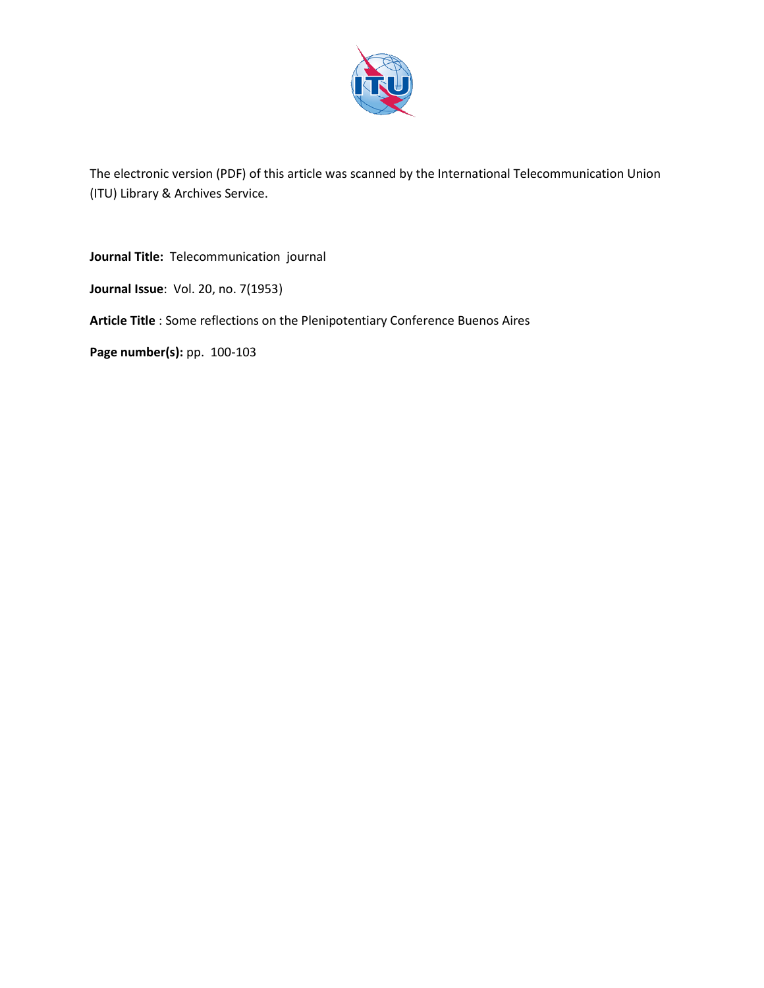

The electronic version (PDF) of this article was scanned by the International Telecommunication Union (ITU) Library & Archives Service.

**Journal Title:** Telecommunication journal

**Journal Issue**: Vol. 20, no. 7(1953)

**Article Title** : Some reflections on the Plenipotentiary Conference Buenos Aires

**Page number(s): pp. 100-103**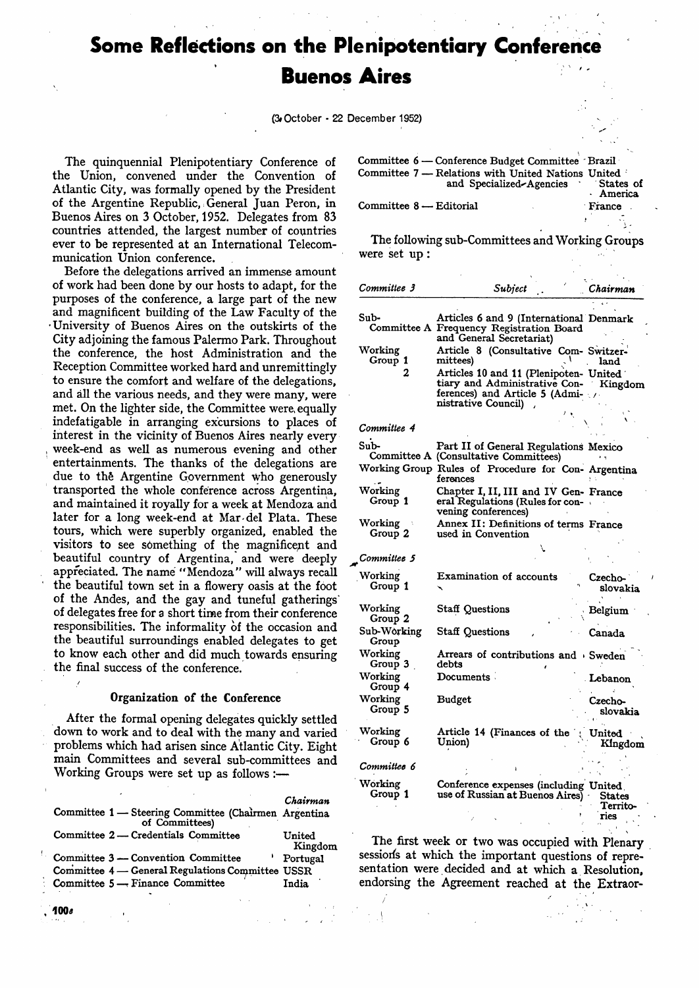# **Some Reflections on the Plenipotentiary Conference Buenos Aires**

(3#October - 22 December 1952)

The quinquennial Plenipotentiary Conference of the Union, convened under the Convention of Atlantic City, was formally opened by the President of the Argentine Republic, *•.* General Juan Peron, in Buenos Aires on 3 October, 1952. Delegates from 83 countries attended, the largest number of countries ever to be represented at an International Telecommunication Union conference.

Before the delegations arrived an immense amount of work had been done by our hosts to adapt, for the purposes of the conference, a large part of the new and magnificent building of the Law Faculty of the •University of Buenos Aires on the outskirts of the City adjoining the famous Palermo Park. Throughout the conference, the host Administration and the Reception Committee worked hard and unremittingly to ensure the comfort and welfare of the delegations, and all the various needs, and they were many, were met. On the lighter side, the Committee were, equally indefatigable in arranging excursions to places of interest in the vicinity of Buenos Aires nearly every week-end as well as numerous evening and other entertainments. The thanks of the delegations are due to the Argentine Government who generously transported the whole conference across Argentina, and maintained it royally for a week at Mendoza and later for a long week-end at Mar del Plata. These tours, which were superbly organized, enabled the visitors to see something of the magnificent and beautiful country of Argentina, and were deeply appreciated. The name "Mendoza" will always recall the beautiful town set in a flowery oasis at the foot of the Andes, and the gay and tuneful gatherings' of delegates free for a short time from their conference responsibilities. The informality of the occasion and the beautiful surroundings enabled delegates to get to know each other and did much towards ensuring the final success of the conference.

#### Organization of the Conference

After the formal opening delegates quickly settled down to work and to deal with the many and varied problems which had arisen since Atlantic City. Eight main Committees and several sub-committees and Working Groups were set up as follows :—

|                                                                        | Chairman          |
|------------------------------------------------------------------------|-------------------|
| Committee 1 - Steering Committee (Chairmen Argentina<br>of Committees) |                   |
| Committee 2 — Credentials Committee                                    | United<br>Kingdom |
| Committee 3 — Convention Committee                                     | Portugal          |
| Committee 4 - General Regulations Committee USSR                       |                   |
| Committee $5 -$ Finance Committee                                      | India             |
|                                                                        |                   |

100\*

| Committee 6 — Conference Budget Committee Brazil                                         |           |
|------------------------------------------------------------------------------------------|-----------|
| Committee 7 — Relations with United Nations United<br>and Specialized-Agencies States of | · America |
| Committee 8 — Editorial                                                                  | France    |

The following sub-Committees and Working Groups were set up :

| Committee 3          | Subject                                                                                                                                  | Chairman                   |
|----------------------|------------------------------------------------------------------------------------------------------------------------------------------|----------------------------|
|                      |                                                                                                                                          |                            |
| Sub-                 | Articles 6 and 9 (International Denmark<br>Committee A Frequency Registration Board<br>and General Secretariat)                          |                            |
| Working<br>Group 1   | Article 8 (Consultative Com- Switzer-<br>mittees)                                                                                        | land                       |
| 2                    | Articles 10 and 11 (Plenipoten- United<br>tiary and Administrative Con- Kingdom<br>ferences) and Article 5 (Admi-<br>nistrative Council) |                            |
| Committee 4          |                                                                                                                                          |                            |
| Sub-                 | Part II of General Regulations Mexico<br>Committee A (Consultative Committees)                                                           |                            |
|                      | Working Group Rules of Procedure for Con- Argentina<br>ferences                                                                          |                            |
| Working<br>Group 1   | Chapter I, II, III and IV Gen- France<br>eral Regulations (Rules for con-<br>vening conferences)                                         |                            |
| Working<br>Group 2   | Annex II: Definitions of terms France<br>used in Convention                                                                              |                            |
| Committee 5          |                                                                                                                                          |                            |
| Working<br>Group 1   | Examination of accounts                                                                                                                  | Czecho-<br>slovakia        |
| Working<br>Group 2   | <b>Staff Questions</b>                                                                                                                   | Belgium                    |
| Sub-Working<br>Group | <b>Staff Questions</b>                                                                                                                   | Canada                     |
| Working<br>Group 3   | Arrears of contributions and Sweden<br>debts                                                                                             |                            |
| Working<br>Group 4   | $Documents$ .                                                                                                                            | Lebanon                    |
| Working<br>Group 5   | <b>Budget</b>                                                                                                                            | Czecho-<br>slovakia        |
| Working<br>Group 6   | Article 14 (Finances of the<br>Union)                                                                                                    | United<br>Kingdom          |
| Committee 6          |                                                                                                                                          |                            |
| Working<br>Group 1   | Conference expenses (including United<br>use of Russian at Buenos Aires)                                                                 | States<br>Territo-<br>ries |

The first week or two was occupied with Plenary session's at which the important questions of representation were decided and at which a Resolution, endorsing the Agreement reached at the Extraor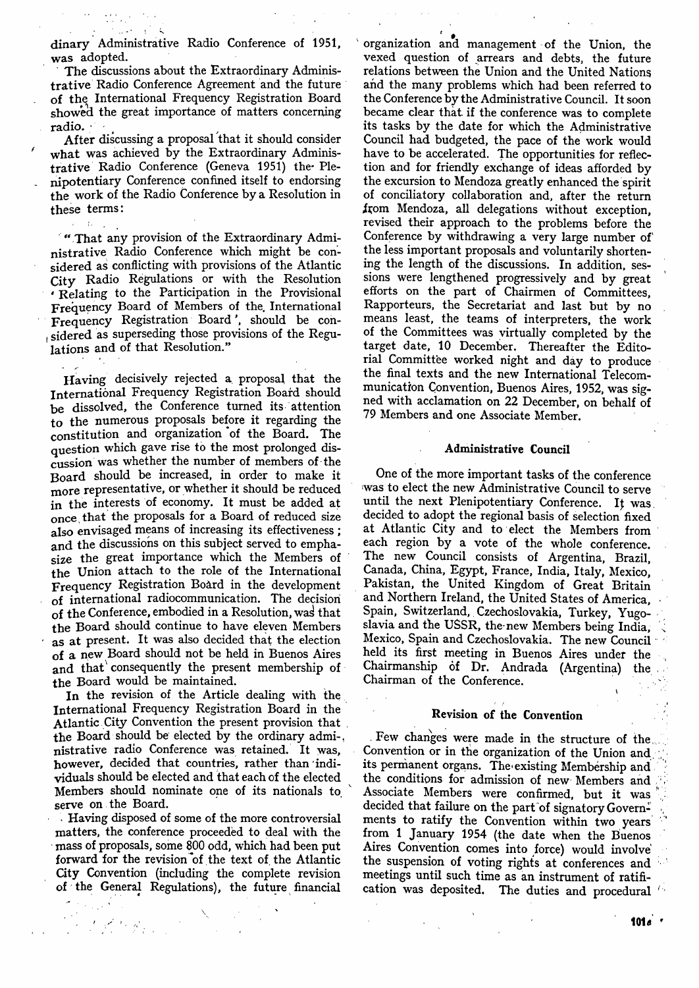dinary Administrative Radio Conference of 1951, was adopted.

The discussions about the Extraordinary Administrative Radio Conference Agreement and the future of the International Frequency Registration Board showed the great importance of matters concerning radio. *-' •<sup>t</sup>*

After discussing a proposal that it should consider what was achieved by the Extraordinary Administrative Radio Conference (Geneva 1951) the- Plenipotentiary Conference confined itself to endorsing the work of the Radio Conference by a Resolution in these terms:

 $\mathcal{L}$ 

"That any provision of the Extraordinary Administrative Radio Conference which might be considered as conflicting with provisions of the Atlantic City Radio Regulations or with the Resolution ' Relating to the Participation in the Provisional Frequency Board of Members of the. International Frequency Registration Board', should be con- , sidered as superseding those provisions of the Regulations and of that Resolution."

Having decisively rejected a proposal that the International Frequency Registration Board should be dissolved, the Conference turned its attention to the numerous proposals before it regarding the constitution and organization of the Board. The question which gave rise to the most prolonged discussion was whether the number of members of the Board should be increased, in order to make it more representative, or whether it should be reduced in the interests of economy. It must be added at once that the proposals for a Board of reduced size also envisaged means of increasing its effectiveness ; and the discussions on this subject served to emphasize the great importance which the Members of the Union attach to the role of the International Frequency Registration Board in the development of international radiocommunication. The decision of the Conference, embodied in a Resolution, was that the Board should continue to have eleven Members as at present. It was also decided that the election of a new Board should not be held in Buenos Aires and that consequently the present membership of the Board would be maintained.

In the revision of the Article dealing with the International Frequency Registration Board in the Atlantic City Convention the present provision that the Board should be elected by the ordinary admi-, nistrative radio Conference was retained. It was, however, decided that countries, rather than individuals should be elected and that each of the elected Members should nominate one of its nationals to. serve on the Board.

Having disposed of some of the more controversial matters, the conference proceeded to deal with the mass of proposals, some 800 odd, which had been put forward for the revision of the text of the Atlantic City Convention (including the complete revision of the General Regulations), the future financial

organization and management of the Union, the vexed question of arrears and debts, the future relations between the Union and the United Nations and the many problems which had been referred to the Conference by the Administrative Council. It soon became clear that if the conference was to complete its tasks by the date for which the Administrative Council had budgeted, the pace of the work would have to be accelerated. The opportunities for reflection and for friendly exchange of ideas afforded by the excursion to Mendoza greatly enhanced the spirit of conciliatory collaboration and, after the return from Mendoza, all delegations without exception, revised their approach to the problems before the Conference by withdrawing a very large number of the less important proposals and voluntarily shortening the length of the discussions. In addition, sessions were lengthened progressively and by great efforts on the part of Chairmen of Committees, Rapporteurs, the Secretariat and last but by no means least, the teams of interpreters, the work of the Committees was virtually completed by the target date, 10 December. Thereafter the Editorial Committee worked night and day to produce the final texts and the new International Telecommunication Convention, Buenos Aires, 1952, was signed with acclamation on 22 December, on behalf of 79 Members and one Associate Member.

#### Administrative Council

One of the more important tasks of the conference was to elect the new Administrative Council to serve until the next Plenipotentiary Conference. *l\* was. decided to adopt the regional basis of selection fixed at Atlantic City and to elect the Members from each region by a vote of the whole conference. The new Council consists of Argentina, Brazil, Canada, China, Egypt, France, India, Italy, Mexico, Pakistan, the United Kingdom of Great Britain and Northern Ireland, the United States of America, • Spain, Switzerland, Czechoslovakia, Turkey, Yugoslavia and the USSR, the new Members being India, Mexico, Spain and Czechoslovakia. The new Council held its first meeting in Buenos Aires under the Chairmanship of Dr. Andrada (Argentina) the Chairman of the Conference.

#### Revision of the Convention

Few changes were made in the structure of the, Convention or in the organization of the Union and. its permanent organs. The existing Membership and the conditions for admission of new Members and Associate Members were confirmed, but it was decided that failure on the part of signatory Governments to ratify the Convention within two years from 1 January 1954 (the date when the Buenos Aires Convention comes into force) would involve the suspension of voting rights at conferences and meetings until such time as an instrument of ratification was deposited. The duties and procedural ''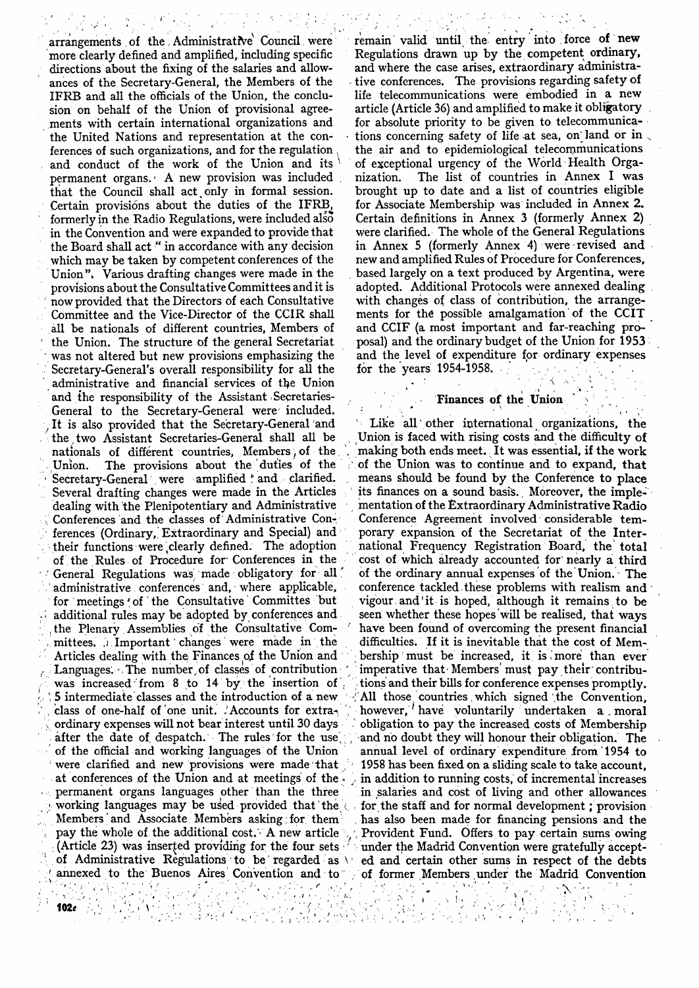arrangements of the Administrative Council were more clearly defined and amplified, including specific directions about the fixing of the salaries and allowances of the Secretary-General, the Members of the IFRB and all the officials of the Union, the conclusion on behalf of the Union of provisional agreements with certain international organizations and the United Nations and representation at the conferences of such organizations, and for the regulation and conduct of the work of the Union and its ' permanent organs.<sup>,</sup> A new provision was included that the Council shall act only in formal session. Certain provisions about the duties of the IFRB, formerly in the Radio Regulations, were included also in the Convention and were expanded to provide that the Board shall act " in accordance with any decision which may be taken by competent conferences of the Union". Various drafting changes were made in the provisions about the Consultative Committees and it is now provided that the Directors of each Consultative Committee and the Vice-Director of the CCIR shall all be nationals of different countries, Members of the Union. The structure of the general Secretariat was not altered but new provisions emphasizing the Secretary-General's overall responsibility for all the administrative and financial services of the Union and the responsibility of the Assistant Secretaries-General to the Secretary-General were' included. It is also provided that the Secretary-General 'and the two Assistant Secretaries-General shall all be nationals of different countries, Members, of the Union. The provisions about the duties of the The provisions about the duties of the Secretary-General were amplified and clarified. Several drafting changes were made in the Articles dealing with the Plenipotentiary and Administrative Conferences and the classes of Administrative Conferences (Ordinary, Extraordinary and Special) and their functions were,clearly defined. The adoption of the Rules of Procedure for Conferences in the General Regulations was made obligatory for all administrative conferences and, where applicable, for meetings ' of ' the Consultative ` Committes but additional rules may be adopted by conferences and , the Plenary Assemblies of the Consultative Com mittees. J Important changes were made in the Articles dealing with the Finances *pi* the Union and Languages. The number of classes of contribution was increased'from 8 to 14 by the insertion of 5 intermediate classes and the introduction of a new class of one-half of one unit. Accounts for extra-\ ordinary expenses will not bear interest until 30 days after the date of despatch. The rules for the use of the official and working languages of the Union were clarified and new provisions were made that at conferences of the Union and at meetings of the permanent organs languages other than the three working languages may be used provided that the Members and Associate Members asking for them pay the whole of the additional cost. A new article : (Article 23) was inserted providing for the four sets under the Madrid Convention were gratefully acceptof Administrative Regulations to be regarded as \ ed and certain other sums in respect of the debts

*{*

1

**102e** *102e* 

remain valid until the entry into force of new Regulations drawn up by the competent ordinary, and where the case arises, extraordinary administrative conferences. The provisions regarding safety of life telecommunications were embodied in a new article (Article 36) and amplified to make it obligatory for absolute priority to be given to telecommunications concerning safety of life at sea, on land or in the air and to epidemiological telecommunications of exceptional urgency of the World Health Organization. The list of countries in Annex I was brought up to date and a list of countries eligible for Associate Membership was included in Annex 2. Certain definitions in Annex 3 (formerly Annex 2) were clarified. The whole of the General Regulations in Annex 5 (formerly Annex 4) were revised and new and amplified Rules of Procedure for Conferences, based largely on a text produced by Argentina, were adopted. Additional Protocols were annexed dealing with changes of class of contribution, the arrangements for the possible amalgamation of the CCIT and CCIF (a most important and far-reaching proposal) and the ordinary budget of the Union for 1953 and the level of expenditure for ordinary expenses for the years  $1954-1958$ .

### Finances of the Union

 $\bullet$  . In the set of the set of the set of the set of the set of the set of the set of the set of the set of the set of the set of the set of the set of the set of the set of the set of the set of the set of the set of th

(annexed to the Buenos Aires Convention and to of former Members under the Madrid Convention 1 Like all other international organizations, the Union is faced with rising costs and the difficulty of making both ends meet. It was essential, if the work of the Union was to continue and to expand, that means should be found by the Conference to place its finances on a sound basis. Moreover, the implementation of the Extraordinary Administrative Radio Conference Agreement involved considerable temporary expansion of the Secretariat of the International Frequency Registration Board, the total cost of which already accounted for nearly a third of the ordinary annual expenses of the Union. - The conference tackled these problems with realism and vigour.and'it is hoped, although it remains to be seen whether these hopes will be realised, that ways have been found of overcoming the present financial difficulties. If it is inevitable that the cost of Membership must be increased, it is, more than ever imperative that-Members'must pay their'contributions and their bills for conference expenses promptly. All those countries which signed the Convention, however, have voluntarily undertaken a moral obligation to pay the increased costs of Membership and no doubt they will honour their obligation. The annual level of ordinary expenditure from 1954 to 1958 has been fixed on a sliding scale to take account, in addition to running costs, of incremental increases in salaries and cost of living and other allowances for the staff and for normal development; provision has also been made for financing pensions and the ', Provident Fund. Offers to pay certain sums owing

 $\mathcal{Y}$  . . .

- 87

**TAN ASSES** 

**なんの人** 

 $\frac{1}{2}$ 

وأراد

ile Al   $\{i,j\}\subset\mathbb{R}^n$ 

 $\mathbb{R}^n$